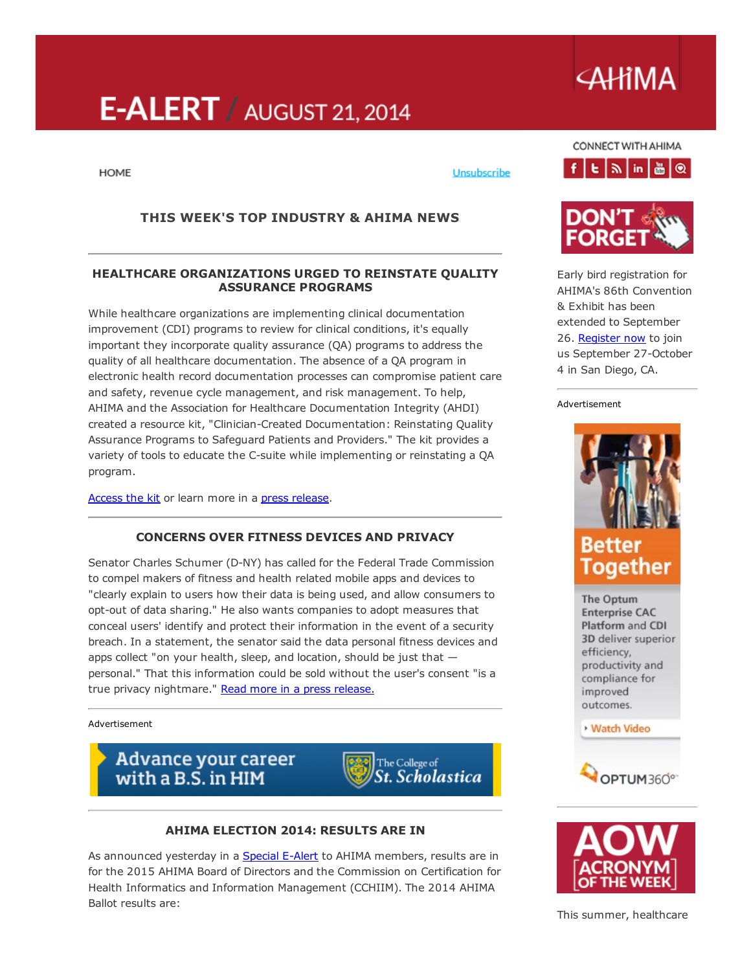# $E-ALERT /$  AUGUST 21, 2014

#### **HOME**

## THIS WEEK'S TOP INDUSTRY & AHIMA NEWS

#### HEALTHCARE ORGANIZATIONS URGED TO REINSTATE QUALITY ASSURANCE PROGRAMS

While healthcare organizations are implementing clinical documentation improvement (CDI) programs to review for clinical conditions, it's equally important they incorporate quality assurance (QA) programs to address the quality of all healthcare documentation. The absence of a QA program in electronic health record documentation processes can compromise patient care and safety, revenue cycle management, and risk management. To help, AHIMA and the Association for Healthcare Documentation Integrity (AHDI) created a resource kit, "Clinician-Created Documentation: Reinstating Quality Assurance Programs to Safeguard Patients and Providers." The kit provides a variety of tools to educate the C-suite while implementing or reinstating a QA program.

[Access](http://www.ahdionline.org/ProfessionalPractices/BestPracticesandStandardGuidelines/ClinicianCreatedDocumentationResourceKit/tabid/752/Default.aspx) the kit or learn more in a press [release](http://www.ahima.org/~/media/AHIMA/Files/PR/N140815%20AHIMA%20AHDI%20Toolkit_FINAL.ashx).

#### CONCERNS OVER FITNESS DEVICES AND PRIVACY

Senator Charles Schumer (D-NY) has called for the Federal Trade Commission to compel makers of fitness and health related mobile apps and devices to "clearly explain to users how their data is being used, and allow consumers to opt-out of data sharing." He also wants companies to adopt measures that conceal users' identify and protect their information in the event of a security breach. In a statement, the senator said the data personal fitness devices and apps collect "on your health, sleep, and location, should be just that personal." That this information could be sold without the user's consent "is a true privacy nightmare." Read more in a press [release.](http://www.schumer.senate.gov/Newsroom/record.cfm?id=355189)

Advertisement

# Advance your career<br>with a B.S. in HIM



#### AHIMA ELECTION 2014: RESULTS ARE IN

As announced yesterday in a [Special](https://newsletters.ahima.org/newsletters/ealert/2014/0820_Special.html) E-Alert to AHIMA members, results are in for the 2015 AHIMA Board of Directors and the Commission on Certification for Health Informatics and Information Management (CCHIIM). The 2014 AHIMA Ballot results are:

CONNECT WITH AHIMA



Unsubscribe



Early bird registration for AHIMA's 86th Convention & Exhibit has been extended to September 26. [Register](http://www.ahima.org/convention) now to join us September 27-October 4 in San Diego, CA.

Advertisement



The Optum **Enterprise CAC** Platform and CDI 3D deliver superior efficiency, productivity and compliance for improved outcomes.

#### **Watch Video**





# **AHIMA**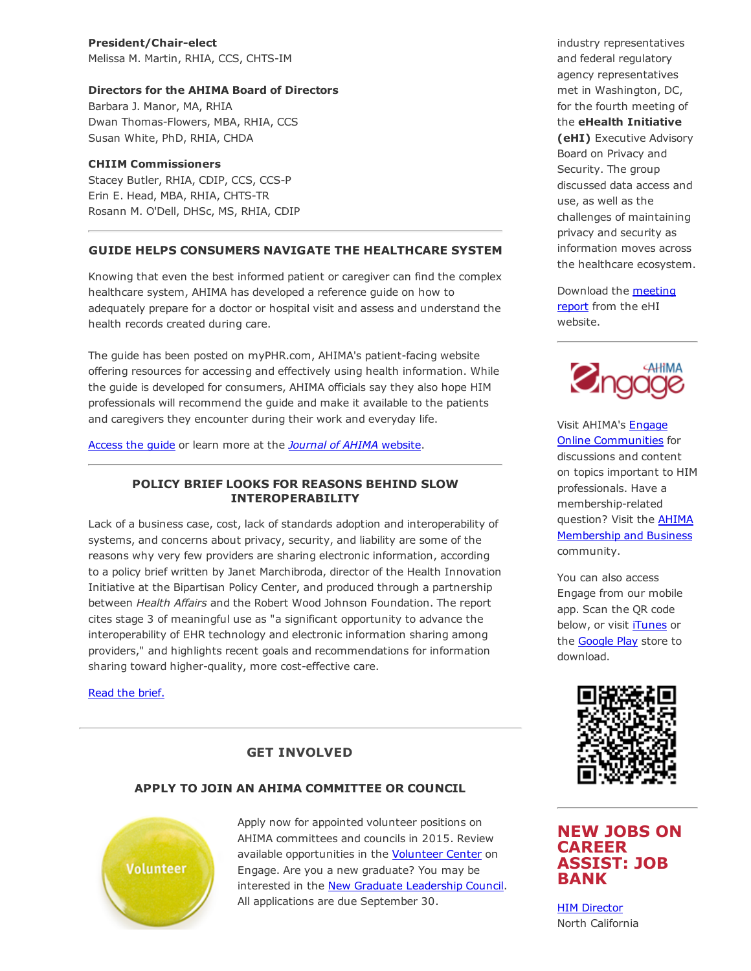President/Chair-elect Melissa M. Martin, RHIA, CCS, CHTS-IM

#### Directors for the AHIMA Board of Directors

Barbara J. Manor, MA, RHIA Dwan Thomas-Flowers, MBA, RHIA, CCS Susan White, PhD, RHIA, CHDA

#### CHIIM Commissioners

Stacey Butler, RHIA, CDIP, CCS, CCS-P Erin E. Head, MBA, RHIA, CHTS-TR Rosann M. O'Dell, DHSc, MS, RHIA, CDIP

### GUIDE HELPS CONSUMERS NAVIGATE THE HEALTHCARE SYSTEM

Knowing that even the best informed patient or caregiver can find the complex healthcare system, AHIMA has developed a reference guide on how to adequately prepare for a doctor or hospital visit and assess and understand the health records created during care.

The guide has been posted on myPHR.com, AHIMA's patient-facing website offering resources for accessing and effectively using health information. While the guide is developed for consumers, AHIMA officials say they also hope HIM professionals will recommend the guide and make it available to the patients and caregivers they encounter during their work and everyday life.

[Access](http://myphr.com/Resources/PrepDocVisit_Reference%20Guide%20FINAL.pdf) the guide or learn more at the *Journal of AHIMA* [website](http://journal.ahima.org/2014/08/14/reference-guide-helps-consumers-navigate-complex-healthcare-system/).

### POLICY BRIEF LOOKS FOR REASONS BEHIND SLOW INTEROPERABILITY

Lack of a business case, cost, lack of standards adoption and interoperability of systems, and concerns about privacy, security, and liability are some of the reasons why very few providers are sharing electronic information, according to a policy brief written by Janet Marchibroda, director of the Health Innovation Initiative at the Bipartisan Policy Center, and produced through a partnership between *Health Affairs* and the Robert Wood Johnson Foundation. The report cites stage 3 of meaningful use as "a significant opportunity to advance the interoperability of EHR technology and electronic information sharing among providers," and highlights recent goals and recommendations for information sharing toward higher-quality, more cost-effective care.

Read the [brief.](http://www.healthaffairs.org/healthpolicybriefs/brief.php?brief_id=122)

# GET INVOLVED

# APPLY TO JOIN AN AHIMA COMMITTEE OR COUNCIL



Apply now for appointed volunteer positions on AHIMA committees and councils in 2015. Review available opportunities in the [Volunteer](http://engage.ahima.org/volunteer/volunteeropportunities) Center on Engage. Are you a new graduate? You may be interested in the New Graduate [Leadership](http://engage.ahima.org/volunteer/newvolunteeropportunity/?VolunteerOpportunityKey=82ba3728-58c1-4d96-8366-32e31eed3624) Council. All applications are due September 30.

industry representatives and federal regulatory agency representatives met in Washington, DC, for the fourth meeting of the eHealth Initiative (eHI) Executive Advisory Board on Privacy and Security. The group discussed data access and use, as well as the challenges of maintaining privacy and security as information moves across the healthcare ecosystem.

[Download](http://www.ehidc.org/resource-center/publications/view_document/441-event-summary-data-access-and-use-addressing-privacy-and-security-challenges-to-move-information-across-the-healthcare-ecosystem) the meeting report from the eHI website.



Visit AHIMA's Engage Online [Communities](http://engage.ahima.org/) for discussions and content on topics important to HIM professionals. Have a membership-related question? Visit the **AHIMA** [Membership](http://engage.ahima.org/communities/viewcommunities/groupdetails/?CommunityKey=93941d81-3fb0-4301-8fd0-81f6bce5889d) and Business community.

You can also access Engage from our mobile app. Scan the QR code below, or visit [iTunes](https://itunes.apple.com/us/app/ahima-engage/id795420301?mt=8) or the [Google](https://play.google.com/store/apps/details?id=net.rd.android.membercentric.ahima) Play store to download.



# NEW JOBS ON CAREER ASSIST: JOB BANK

HIM [Director](http://careerassist.ahima.org/jobseeker/job/18727784/) North California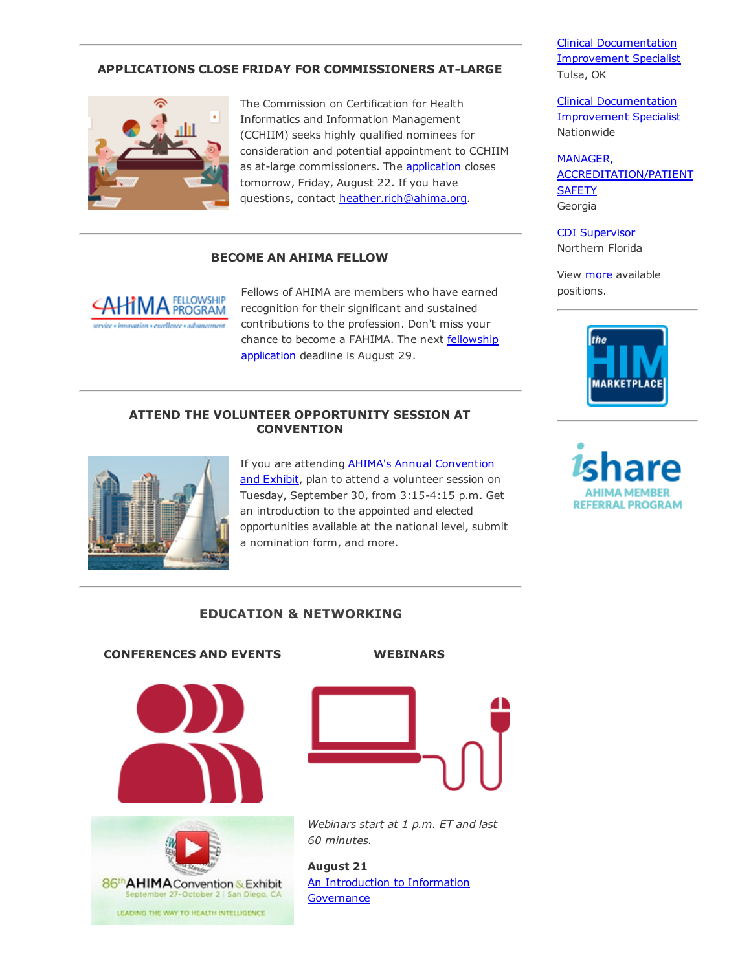# APPLICATIONS CLOSE FRIDAY FOR COMMISSIONERS ATLARGE



The Commission on Certification for Health Informatics and Information Management (CCHIIM) seeks highly qualified nominees for consideration and potential appointment to CCHIIM as at-large commissioners. The **[application](http://www.ahima.org/~/media/AHIMA/Files/Certification/Call_Nominations_AtLargeCommissioners_CCHIIM_July_8_14_Final.ashx)** closes tomorrow, Friday, August 22. If you have questions, contact [heather.rich@ahima.org.](mailto:heather.rich@ahima.org)

#### BECOME AN AHIMA FELLOW

**LOWSHIP** PROGRAM

Fellows of AHIMA are members who have earned recognition for their significant and sustained contributions to the profession. Don't miss your chance to become a FAHIMA. The next fellowship [application](http://www.ahima.org/about/recognition?tabid=fellowship) deadline is August 29.

#### ATTEND THE VOLUNTEER OPPORTUNITY SESSION AT **CONVENTION**



If you are attending **AHIMA's Annual [Convention](http://www.ahima.org/convention)** and Exhibit, plan to attend a volunteer session on Tuesday, September 30, from 3:15-4:15 p.m. Get an introduction to the appointed and elected opportunities available at the national level, submit a nomination form, and more.

# EDUCATION & NETWORKING

# CONFERENCES AND EVENTS WEBINARS







*Webinars start at 1 p.m. ET and last 60 minutes.*

August 21 An [Introduction](https://www.ahimastore.org/ProductDetailAudioSeminars.aspx?ProductID=17540) to Information **Governance** 

Clinical [Documentation](http://careerassist.ahima.org/jobseeker/job/18728283/) Improvement Specialist Tulsa, OK

Clinical [Documentation](http://careerassist.ahima.org/jobseeker/job/18727092/) Improvement Specialist Nationwide

MANAGER, [ACCREDITATION/PATIENT](http://careerassist.ahima.org/jobseeker/job/18708719/) **SAFETY** Georgia

CDI [Supervisor](http://careerassist.ahima.org/jobseeker/job/18707321/) Northern Florida

View [more](http://careerassist.ahima.org/home/home.cfm?site_id=681) available positions.



**REFERRAL PROGRAM**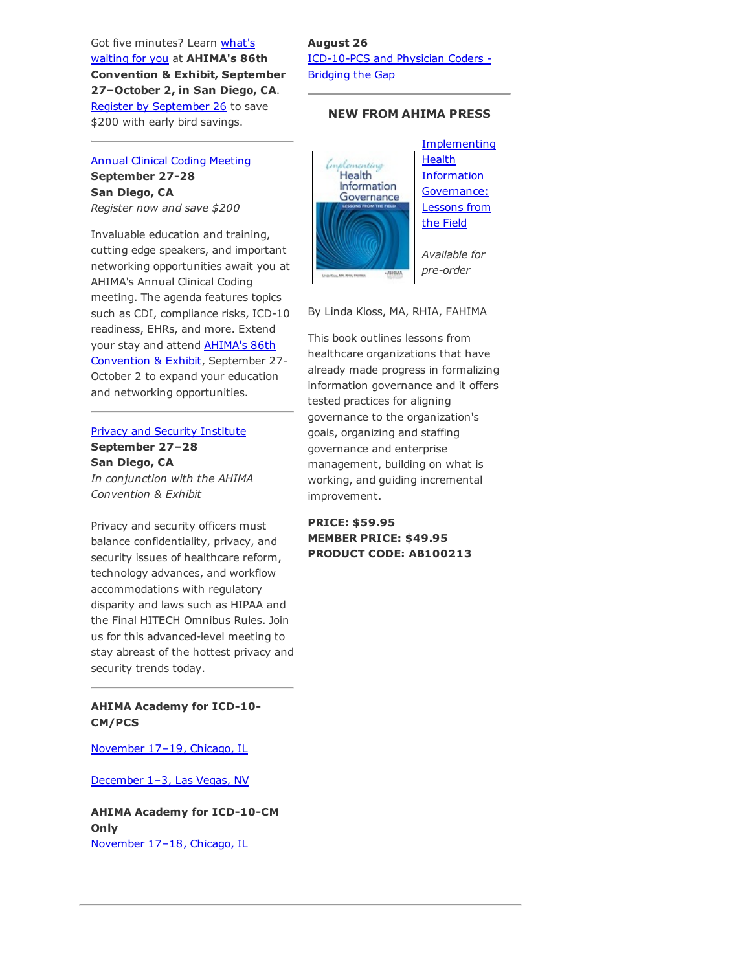Got five minutes? Learn what's waiting for you at [AHIMA's](http://www.ahima.org/convention) 86th Convention & Exhibit, September 27–October 2, in San Diego, CA. Register by [September](http://www.ahima.org/convention) 26 to save \$200 with early bird savings.

Annual Clinical Coding [Meeting](http://www.ahima.org/events/2014Sept-clinicalcoding) September 27-28 San Diego, CA *Register now and save \$200*

Invaluable education and training, cutting edge speakers, and important networking opportunities await you at AHIMA's Annual Clinical Coding meeting. The agenda features topics such as CDI, compliance risks, ICD-10 readiness, EHRs, and more. Extend your stay and attend **AHIMA's 86th** [Convention](http://www.ahima.org/convention) & Exhibit, September 27 October 2 to expand your education and networking opportunities.

#### Privacy and Security [Institute](http://www.ahima.org/events/2014sept-PrivacyInstitute) September 27–28

San Diego, CA *In conjunction with the AHIMA Convention & Exhibit*

Privacy and security officers must balance confidentiality, privacy, and security issues of healthcare reform, technology advances, and workflow accommodations with regulatory disparity and laws such as HIPAA and the Final HITECH Omnibus Rules. Join us for this advanced-level meeting to stay abreast of the hottest privacy and security trends today.

AHIMA Academy for ICD-10-CM/PCS

[November](http://www.ahima.org/events/2014nov-icd10academy-chi) 17–19, Chicago, IL

[December](http://www.ahima.org/events/2014Dec-icd10academy-Vegas) 1–3, Las Vegas, NV

AHIMA Academy for ICD-10-CM **Only** [November](http://www.ahima.org/events/2014Nov-CMacademy-chi) 17–18, Chicago, IL

# August 26 ICD-10-PCS and Physician Coders -Bridging the Gap

### NEW FROM AHIMA PRESS



By Linda Kloss, MA, RHIA, FAHIMA

This book outlines lessons from healthcare organizations that have already made progress in formalizing information governance and it offers tested practices for aligning governance to the organization's goals, organizing and staffing governance and enterprise management, building on what is working, and guiding incremental improvement.

### PRICE: \$59.95 MEMBER PRICE: \$49.95 PRODUCT CODE: AB100213